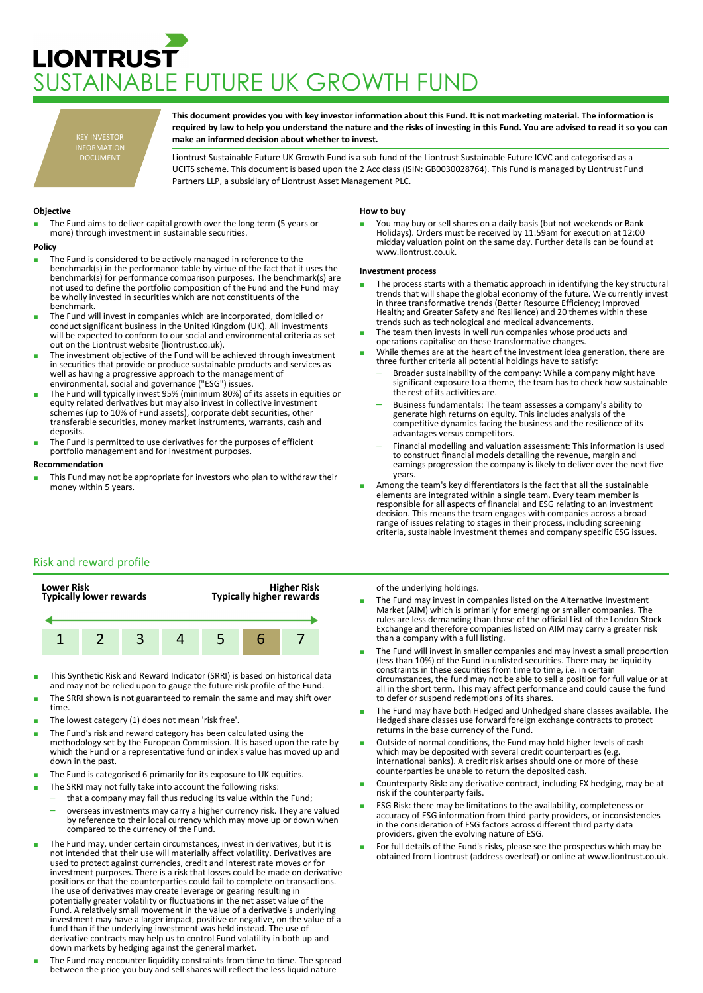# **LIONTRUST** JSTAINABLE FUTURE UK GROWTH FUND

KEY INVESTOR INFORMATION DOCUMENT

**This document provides you with key investor information about this Fund. It is not marketing material. The information is required by law to help you understand the nature and the risks of investing in this Fund. You are advised to read it so you can make an informed decision about whether to invest.**

Liontrust Sustainable Future UK Growth Fund is a sub-fund of the Liontrust Sustainable Future ICVC and categorised as a UCITS scheme. This document is based upon the 2 Acc class (ISIN: GB0030028764). This Fund is managed by Liontrust Fund Partners LLP, a subsidiary of Liontrust Asset Management PLC.

## **Objective**

The Fund aims to deliver capital growth over the long term (5 years or more) through investment in sustainable securities.

#### **Policy**

- The Fund is considered to be actively managed in reference to the benchmark(s) in the performance table by virtue of the fact that it uses the benchmark(s) for performance comparison purposes. The benchmark(s) are not used to define the portfolio composition of the Fund and the Fund may be wholly invested in securities which are not constituents of the benchmark.
- The Fund will invest in companies which are incorporated, domiciled or conduct significant business in the United Kingdom (UK). All investments will be expected to conform to our social and environmental criteria as set out on the Liontrust website (liontrust.co.uk).
- The investment objective of the Fund will be achieved through investment in securities that provide or produce sustainable products and services as well as having a progressive approach to the management of environmental, social and governance ("ESG") issues.
- The Fund will typically invest 95% (minimum 80%) of its assets in equities or equity related derivatives but may also invest in collective investment schemes (up to 10% of Fund assets), corporate debt securities, other transferable securities, money market instruments, warrants, cash and deposits.
- The Fund is permitted to use derivatives for the purposes of efficient portfolio management and for investment purposes.

## **Recommendation**

This Fund may not be appropriate for investors who plan to withdraw their money within 5 years.

## **How to buy**

You may buy or sell shares on a daily basis (but not weekends or Bank Holidays). Orders must be received by 11:59am for execution at 12:00 midday valuation point on the same day. Further details can be found at www.liontrust.co.uk.

## **Investment process**

- The process starts with a thematic approach in identifying the key structural trends that will shape the global economy of the future. We currently invest in three transformative trends (Better Resource Efficiency; Improved Health; and Greater Safety and Resilience) and 20 themes within these trends such as technological and medical advancements.
- The team then invests in well run companies whose products and operations capitalise on these transformative changes.
- While themes are at the heart of the investment idea generation, there are three further criteria all potential holdings have to satisfy:
	- Broader sustainability of the company: While a company might have significant exposure to a theme, the team has to check how sustainable the rest of its activities are.
	- Business fundamentals: The team assesses a company's ability to generate high returns on equity. This includes analysis of the competitive dynamics facing the business and the resilience of its advantages versus competitors.
	- Financial modelling and valuation assessment: This information is used to construct financial models detailing the revenue, margin and earnings progression the company is likely to deliver over the next five years.
- Among the team's key differentiators is the fact that all the sustainable elements are integrated within a single team. Every team member is responsible for all aspects of financial and ESG relating to an investment decision. This means the team engages with companies across a broad range of issues relating to stages in their process, including screening criteria, sustainable investment themes and company specific ESG issues.

# Risk and reward profile



- This Synthetic Risk and Reward Indicator (SRRI) is based on historical data and may not be relied upon to gauge the future risk profile of the Fund.
- The SRRI shown is not guaranteed to remain the same and may shift over time.
- The lowest category (1) does not mean 'risk free'.
- The Fund's risk and reward category has been calculated using the methodology set by the European Commission. It is based upon the rate by which the Fund or a representative fund or index's value has moved up and down in the past.
- The Fund is categorised 6 primarily for its exposure to UK equities.
- The SRRI may not fully take into account the following risks:
	- that a company may fail thus reducing its value within the Fund; – overseas investments may carry a higher currency risk. They are valued by reference to their local currency which may move up or down when compared to the currency of the Fund.
- The Fund may, under certain circumstances, invest in derivatives, but it is not intended that their use will materially affect volatility. Derivatives are used to protect against currencies, credit and interest rate moves or for investment purposes. There is a risk that losses could be made on derivative positions or that the counterparties could fail to complete on transactions. The use of derivatives may create leverage or gearing resulting in potentially greater volatility or fluctuations in the net asset value of the Fund. A relatively small movement in the value of a derivative's underlying investment may have a larger impact, positive or negative, on the value of a fund than if the underlying investment was held instead. The use of derivative contracts may help us to control Fund volatility in both up and down markets by hedging against the general market.
- The Fund may encounter liquidity constraints from time to time. The spread between the price you buy and sell shares will reflect the less liquid nature

## of the underlying holdings.

- The Fund may invest in companies listed on the Alternative Investment<br>Market (AIM) which is primarily for emerging or smaller companies. The rules are less demanding than those of the official List of the London Stock Exchange and therefore companies listed on AIM may carry a greater risk than a company with a full listing.
- The Fund will invest in smaller companies and may invest a small proportion (less than 10%) of the Fund in unlisted securities. There may be liquidity constraints in these securities from time to time, i.e. in certain circumstances, the fund may not be able to sell a position for full value or at all in the short term. This may affect performance and could cause the fund to defer or suspend redemptions of its shares.
- The Fund may have both Hedged and Unhedged share classes available. The Hedged share classes use forward foreign exchange contracts to protect returns in the base currency of the Fund.
- Outside of normal conditions, the Fund may hold higher levels of cash which may be deposited with several credit counterparties (e.g. international banks). A credit risk arises should one or more of these counterparties be unable to return the deposited cash.
- Counterparty Risk: any derivative contract, including FX hedging, may be at risk if the counterparty fails.
- ESG Risk: there may be limitations to the availability, completeness or accuracy of ESG information from third-party providers, or inconsistencies in the consideration of ESG factors across different third party data providers, given the evolving nature of ESG.
- For full details of the Fund's risks, please see the prospectus which may be obtained from Liontrust (address overleaf) or online at www.liontrust.co.uk.